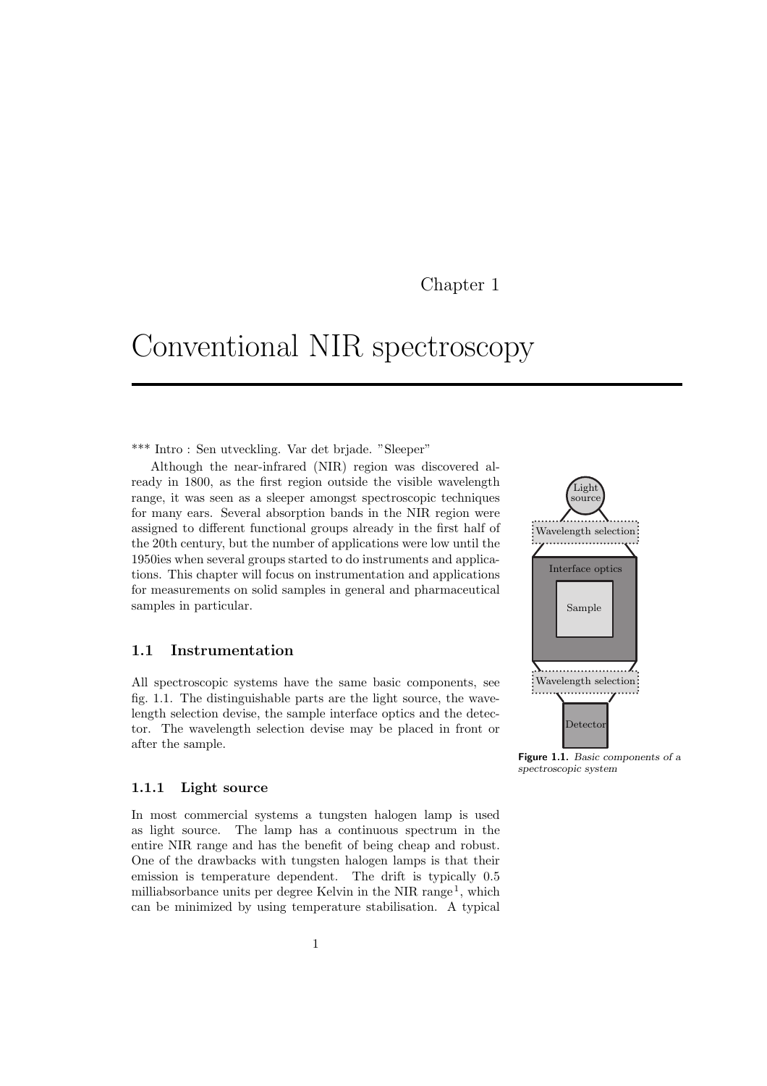### Chapter 1

# Conventional NIR spectroscopy

\*\*\* Intro : Sen utveckling. Var det briade. "Sleeper"

Although the near-infrared (NIR) region was discovered already in 1800, as the first region outside the visible wavelength range, it was seen as a sleeper amongst spectroscopic techniques for many ears. Several absorption bands in the NIR region were assigned to different functional groups already in the first half of the 20th century, but the number of applications were low until the 1950ies when several groups started to do instruments and applications. This chapter will focus on instrumentation and applications for measurements on solid samples in general and pharmaceutical samples in particular.

### 1.1 Instrumentation

All spectroscopic systems have the same basic components, see fig. 1.1. The distinguishable parts are the light source, the wavelength selection devise, the sample interface optics and the detector. The wavelength selection devise may be placed in front or after the sample.

#### 1.1.1 Light source

In most commercial systems a tungsten halogen lamp is used as light source. The lamp has a continuous spectrum in the entire NIR range and has the benefit of being cheap and robust. One of the drawbacks with tungsten halogen lamps is that their emission is temperature dependent. The drift is typically 0.5 milliabsorbance units per degree Kelvin in the NIR range<sup>1</sup>, which can be minimized by using temperature stabilisation. A typical



Figure 1.1. Basic components of a spectroscopic system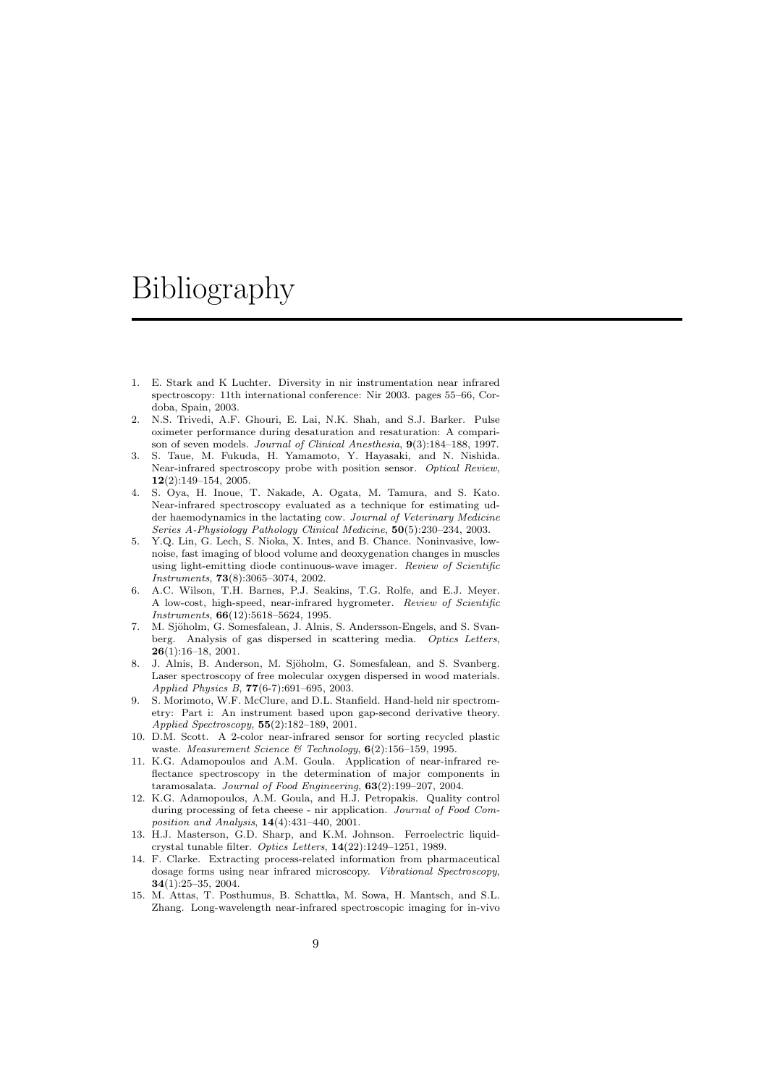# Bibliography

- 1. E. Stark and K Luchter. Diversity in nir instrumentation near infrared spectroscopy: 11th international conference: Nir 2003. pages 55–66, Cordoba, Spain, 2003.
- 2. N.S. Trivedi, A.F. Ghouri, E. Lai, N.K. Shah, and S.J. Barker. Pulse oximeter performance during desaturation and resaturation: A comparison of seven models. Journal of Clinical Anesthesia, 9(3):184–188, 1997.
- 3. S. Taue, M. Fukuda, H. Yamamoto, Y. Hayasaki, and N. Nishida. Near-infrared spectroscopy probe with position sensor. Optical Review, 12(2):149–154, 2005.
- 4. S. Oya, H. Inoue, T. Nakade, A. Ogata, M. Tamura, and S. Kato. Near-infrared spectroscopy evaluated as a technique for estimating udder haemodynamics in the lactating cow. Journal of Veterinary Medicine Series A-Physiology Pathology Clinical Medicine, 50(5):230–234, 2003.
- 5. Y.Q. Lin, G. Lech, S. Nioka, X. Intes, and B. Chance. Noninvasive, lownoise, fast imaging of blood volume and deoxygenation changes in muscles using light-emitting diode continuous-wave imager. Review of Scientific Instruments, 73(8):3065–3074, 2002.
- 6. A.C. Wilson, T.H. Barnes, P.J. Seakins, T.G. Rolfe, and E.J. Meyer. A low-cost, high-speed, near-infrared hygrometer. Review of Scientific Instruments, 66(12):5618–5624, 1995.
- 7. M. Sjöholm, G. Somesfalean, J. Alnis, S. Andersson-Engels, and S. Svanberg. Analysis of gas dispersed in scattering media. Optics Letters, 26(1):16–18, 2001.
- 8. J. Alnis, B. Anderson, M. Sjöholm, G. Somesfalean, and S. Svanberg. Laser spectroscopy of free molecular oxygen dispersed in wood materials. Applied Physics B, 77(6-7):691–695, 2003.
- 9. S. Morimoto, W.F. McClure, and D.L. Stanfield. Hand-held nir spectrometry: Part i: An instrument based upon gap-second derivative theory. Applied Spectroscopy, 55(2):182–189, 2001.
- 10. D.M. Scott. A 2-color near-infrared sensor for sorting recycled plastic waste. Measurement Science & Technology,  $6(2)$ :156-159, 1995.
- 11. K.G. Adamopoulos and A.M. Goula. Application of near-infrared reflectance spectroscopy in the determination of major components in taramosalata. Journal of Food Engineering, 63(2):199–207, 2004.
- 12. K.G. Adamopoulos, A.M. Goula, and H.J. Petropakis. Quality control during processing of feta cheese - nir application. Journal of Food Composition and Analysis, 14(4):431–440, 2001.
- 13. H.J. Masterson, G.D. Sharp, and K.M. Johnson. Ferroelectric liquidcrystal tunable filter. Optics Letters, 14(22):1249–1251, 1989.
- 14. F. Clarke. Extracting process-related information from pharmaceutical dosage forms using near infrared microscopy. Vibrational Spectroscopy, 34(1):25–35, 2004.
- 15. M. Attas, T. Posthumus, B. Schattka, M. Sowa, H. Mantsch, and S.L. Zhang. Long-wavelength near-infrared spectroscopic imaging for in-vivo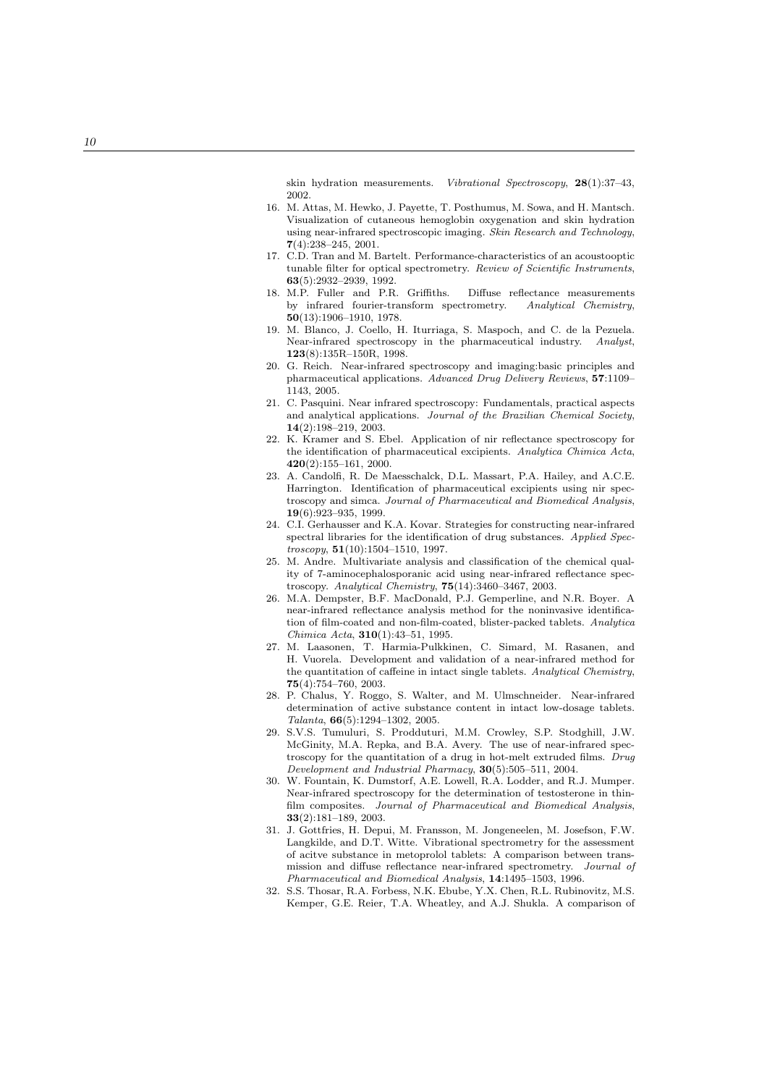skin hydration measurements. Vibrational Spectroscopy, 28(1):37-43, 2002.

- 16. M. Attas, M. Hewko, J. Payette, T. Posthumus, M. Sowa, and H. Mantsch. Visualization of cutaneous hemoglobin oxygenation and skin hydration using near-infrared spectroscopic imaging. Skin Research and Technology, 7(4):238–245, 2001.
- 17. C.D. Tran and M. Bartelt. Performance-characteristics of an acoustooptic tunable filter for optical spectrometry. Review of Scientific Instruments, 63(5):2932–2939, 1992.
- 18. M.P. Fuller and P.R. Griffiths. Diffuse reflectance measurements by infrared fourier-transform spectrometry. Analytical Chemistry, 50(13):1906–1910, 1978.
- 19. M. Blanco, J. Coello, H. Iturriaga, S. Maspoch, and C. de la Pezuela. Near-infrared spectroscopy in the pharmaceutical industry. Analyst, 123(8):135R–150R, 1998.
- 20. G. Reich. Near-infrared spectroscopy and imaging:basic principles and pharmaceutical applications. Advanced Drug Delivery Reviews, 57:1109-1143, 2005.
- 21. C. Pasquini. Near infrared spectroscopy: Fundamentals, practical aspects and analytical applications. Journal of the Brazilian Chemical Society, 14(2):198–219, 2003.
- 22. K. Kramer and S. Ebel. Application of nir reflectance spectroscopy for the identification of pharmaceutical excipients. Analytica Chimica Acta, 420(2):155–161, 2000.
- 23. A. Candolfi, R. De Maesschalck, D.L. Massart, P.A. Hailey, and A.C.E. Harrington. Identification of pharmaceutical excipients using nir spectroscopy and simca. Journal of Pharmaceutical and Biomedical Analysis, 19(6):923–935, 1999.
- 24. C.I. Gerhausser and K.A. Kovar. Strategies for constructing near-infrared spectral libraries for the identification of drug substances. Applied Spec $troscopy, 51(10):1504-1510, 1997.$
- 25. M. Andre. Multivariate analysis and classification of the chemical quality of 7-aminocephalosporanic acid using near-infrared reflectance spectroscopy. Analytical Chemistry, 75(14):3460–3467, 2003.
- 26. M.A. Dempster, B.F. MacDonald, P.J. Gemperline, and N.R. Boyer. A near-infrared reflectance analysis method for the noninvasive identification of film-coated and non-film-coated, blister-packed tablets. Analytica Chimica Acta , 310(1):43–51, 1995.
- 27. M. Laasonen, T. Harmia-Pulkkinen, C. Simard, M. Rasanen, and H. Vuorela. Development and validation of a near-infrared method for the quantitation of caffeine in intact single tablets. Analytical Chemistry, 75(4):754–760, 2003.
- 28. P. Chalus, Y. Roggo, S. Walter, and M. Ulmschneider. Near-infrared determination of active substance content in intact low-dosage tablets. Talanta , 66(5):1294–1302, 2005.
- 29. S.V.S. Tumuluri, S. Prodduturi, M.M. Crowley, S.P. Stodghill, J.W. McGinity, M.A. Repka, and B.A. Avery. The use of near-infrared spectroscopy for the quantitation of a drug in hot-melt extruded films. Drug Development and Industrial Pharmacy , 30(5):505–511, 2004.
- 30. W. Fountain, K. Dumstorf, A.E. Lowell, R.A. Lodder, and R.J. Mumper. Near-infrared spectroscopy for the determination of testosterone in thinfilm composites. Journal of Pharmaceutical and Biomedical Analysis, 33(2):181–189, 2003.
- 31. J. Gottfries, H. Depui, M. Fransson, M. Jongeneelen, M. Josefson, F.W. Langkilde, and D.T. Witte. Vibrational spectrometry for the assessment of acitve substance in metoprolol tablets: A comparison between transmission and diffuse reflectance near-infrared spectrometry. Journal of Pharmaceutical and Biomedical Analysis , 14:1495–1503, 1996.
- 32. S.S. Thosar, R.A. Forbess, N.K. Ebube, Y.X. Chen, R.L. Rubinovitz, M.S. Kemper, G.E. Reier, T.A. Wheatley, and A.J. Shukla. A comparison of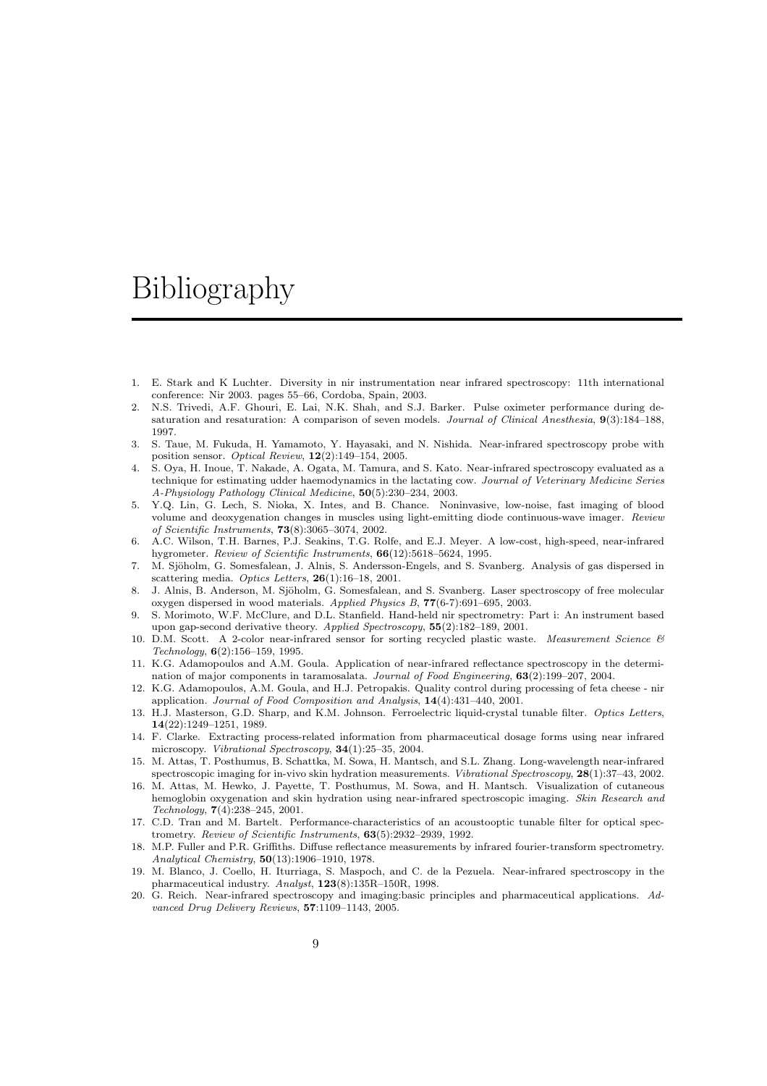### Bibliography

- 1. E. Stark and K Luchter. Diversity in nir instrumentation near infrared spectroscopy: 11th international conference: Nir 2003. pages 55–66, Cordoba, Spain, 2003.
- 2. N.S. Trivedi, A.F. Ghouri, E. Lai, N.K. Shah, and S.J. Barker. Pulse oximeter performance during desaturation and resaturation: A comparison of seven models. Journal of Clinical Anesthesia, 9(3):184-188, 1997.
- 3. S. Taue, M. Fukuda, H. Yamamoto, Y. Hayasaki, and N. Nishida. Near-infrared spectroscopy probe with position sensor. Optical Review, 12(2):149–154, 2005.
- 4. S. Oya, H. Inoue, T. Nakade, A. Ogata, M. Tamura, and S. Kato. Near-infrared spectroscopy evaluated as a technique for estimating udder haemodynamics in the lactating cow. Journal of Veterinary Medicine Series A-Physiology Pathology Clinical Medicine, 50(5):230–234, 2003.
- 5. Y.Q. Lin, G. Lech, S. Nioka, X. Intes, and B. Chance. Noninvasive, low-noise, fast imaging of blood volume and deoxygenation changes in muscles using light-emitting diode continuous-wave imager. Review of Scientific Instruments, 73(8):3065–3074, 2002.
- 6. A.C. Wilson, T.H. Barnes, P.J. Seakins, T.G. Rolfe, and E.J. Meyer. A low-cost, high-speed, near-infrared hygrometer. Review of Scientific Instruments,  $66(12):5618-5624$ , 1995.
- 7. M. Sjöholm, G. Somesfalean, J. Alnis, S. Andersson-Engels, and S. Svanberg. Analysis of gas dispersed in scattering media. Optics Letters,  $26(1):16-18$ , 2001.
- 8. J. Alnis, B. Anderson, M. Sjöholm, G. Somesfalean, and S. Svanberg. Laser spectroscopy of free molecular oxygen dispersed in wood materials. Applied Physics B, 77(6-7):691–695, 2003.
- 9. S. Morimoto, W.F. McClure, and D.L. Stanfield. Hand-held nir spectrometry: Part i: An instrument based upon gap-second derivative theory. Applied Spectroscopy, 55(2):182–189, 2001.
- 10. D.M. Scott. A 2-color near-infrared sensor for sorting recycled plastic waste. Measurement Science &  $Technology, 6(2):156–159, 1995.$
- 11. K.G. Adamopoulos and A.M. Goula. Application of near-infrared reflectance spectroscopy in the determination of major components in taramosalata. Journal of Food Engineering,  $63(2):199-207$ , 2004.
- 12. K.G. Adamopoulos, A.M. Goula, and H.J. Petropakis. Quality control during processing of feta cheese nir application. Journal of Food Composition and Analysis, 14(4):431–440, 2001.
- 13. H.J. Masterson, G.D. Sharp, and K.M. Johnson. Ferroelectric liquid-crystal tunable filter. Optics Letters, 14(22):1249–1251, 1989.
- 14. F. Clarke. Extracting process-related information from pharmaceutical dosage forms using near infrared microscopy. Vibrational Spectroscopy, 34(1):25–35, 2004.
- 15. M. Attas, T. Posthumus, B. Schattka, M. Sowa, H. Mantsch, and S.L. Zhang. Long-wavelength near-infrared spectroscopic imaging for in-vivo skin hydration measurements. *Vibrational Spectroscopy*,  $28(1)$ :37–43, 2002.
- 16. M. Attas, M. Hewko, J. Payette, T. Posthumus, M. Sowa, and H. Mantsch. Visualization of cutaneous hemoglobin oxygenation and skin hydration using near-infrared spectroscopic imaging. Skin Research and Technology, 7(4):238–245, 2001.
- 17. C.D. Tran and M. Bartelt. Performance-characteristics of an acoustooptic tunable filter for optical spectrometry. Review of Scientific Instruments, 63(5):2932–2939, 1992.
- 18. M.P. Fuller and P.R. Griffiths. Diffuse reflectance measurements by infrared fourier-transform spectrometry. Analytical Chemistry, 50(13):1906–1910, 1978.
- 19. M. Blanco, J. Coello, H. Iturriaga, S. Maspoch, and C. de la Pezuela. Near-infrared spectroscopy in the pharmaceutical industry. Analyst, 123(8):135R–150R, 1998.
- 20. G. Reich. Near-infrared spectroscopy and imaging:basic principles and pharmaceutical applications. Advanced Drug Delivery Reviews, 57:1109–1143, 2005.